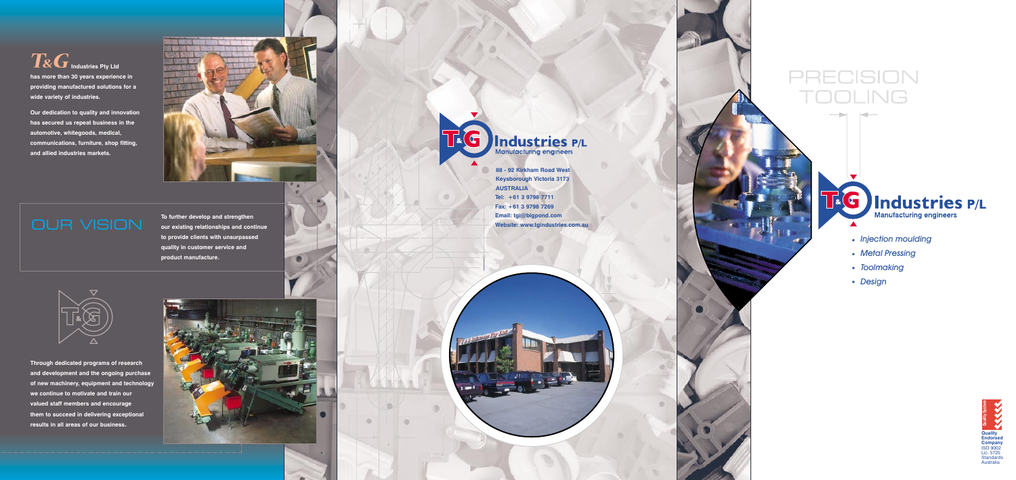

**AUSTRALIA**

**88 - 92 Kirkham Road West Keysborough Victoria 3173 Tel: +61 3 9798 7711 Fax: +61 3 9798 7269 Email: tgi@bigpond.com Website: www.tgindustries.com.au** 

## PRECISION DOLING



 $\boxed{RG}$ Industries Pty Ltd **has more than 30 years experience in providing manufactured solutions for a wide variety of industries.**

- *Injection moulding*
- *Metal Pressing*
- *Toolmaking*
- *Design*

**Our dedication to quality and innovation has secured us repeat business in the automotive, whitegoods, medical, communications, furniture, shop fitting, and allied industries markets.**





**Through dedicated programs of research and development and the ongoing purchase of new machinery, equipment and technology we continue to motivate and train our valued staff members and encourage them to succeed in delivering exceptional results in all areas of our business .**



## Industries P/L

**To further develop and strengthen our existing relationships and continue to provide clients with unsurpassed quality in customer service and product manufacture.**